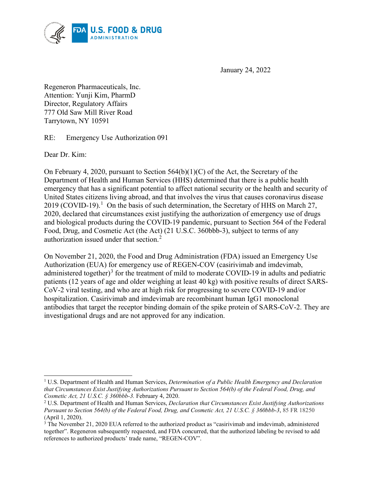

January 24, 2022

Regeneron Pharmaceuticals, Inc. Attention: Yunji Kim, PharmD Director, Regulatory Affairs 777 Old Saw Mill River Road Tarrytown, NY 10591

RE: Emergency Use Authorization 091

Dear Dr. Kim:

On February 4, 2020, pursuant to Section 564(b)(1)(C) of the Act, the Secretary of the Department of Health and Human Services (HHS) determined that there is a public health emergency that has a significant potential to affect national security or the health and security of United States citizens living abroad, and that involves the virus that causes coronavirus disease 20[1](#page-0-0)9 (COVID-19).<sup>1</sup> On the basis of such determination, the Secretary of HHS on March 27, 2020, declared that circumstances exist justifying the authorization of emergency use of drugs and biological products during the COVID-19 pandemic, pursuant to Section 564 of the Federal Food, Drug, and Cosmetic Act (the Act) (21 U.S.C. 360bbb-3), subject to terms of any authorization issued under that section. $<sup>2</sup>$  $<sup>2</sup>$  $<sup>2</sup>$ </sup>

On November 21, 2020, the Food and Drug Administration (FDA) issued an Emergency Use Authorization (EUA) for emergency use of REGEN-COV (casirivimab and imdevimab, administered together)<sup>[3](#page-0-2)</sup> for the treatment of mild to moderate COVID-19 in adults and pediatric patients (12 years of age and older weighing at least 40 kg) with positive results of direct SARS-CoV-2 viral testing, and who are at high risk for progressing to severe COVID-19 and/or hospitalization. Casirivimab and imdevimab are recombinant human IgG1 monoclonal antibodies that target the receptor binding domain of the spike protein of SARS-CoV-2. They are investigational drugs and are not approved for any indication.

<span id="page-0-0"></span><sup>1</sup> U.S. Department of Health and Human Services, *Determination of a Public Health Emergency and Declaration that Circumstances Exist Justifying Authorizations Pursuant to Section 564(b) of the Federal Food, Drug, and Cosmetic Act, 21 U.S.C. § 360bbb-3.* February 4, 2020.

<span id="page-0-1"></span><sup>2</sup> U.S. Department of Health and Human Services, *Declaration that Circumstances Exist Justifying Authorizations Pursuant to Section 564(b) of the Federal Food, Drug, and Cosmetic Act, 21 U.S.C. § 360bbb-3*, 85 FR 18250 (April 1, 2020).

<span id="page-0-2"></span><sup>&</sup>lt;sup>3</sup> The November 21, 2020 EUA referred to the authorized product as "casirivimab and imdevimab, administered together". Regeneron subsequently requested, and FDA concurred, that the authorized labeling be revised to add references to authorized products' trade name, "REGEN-COV".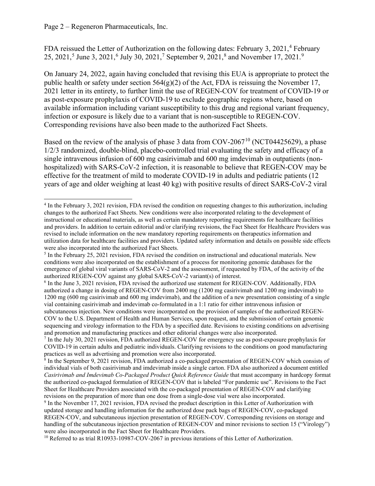FDA reissued the Letter of Authorization on the following dates: February 3, 2021,<sup>[4](#page-1-0)</sup> February 2[5](#page-1-1), 2021,<sup>5</sup> June 3, 2021,<sup>[6](#page-1-2)</sup> July 30, 2021,<sup>[7](#page-1-3)</sup> September 9, 2021,<sup>[8](#page-1-4)</sup> and November 17, 2021.<sup>[9](#page-1-5)</sup>

On January 24, 2022, again having concluded that revising this EUA is appropriate to protect the public health or safety under section  $564(g)(2)$  of the Act, FDA is reissuing the November 17, 2021 letter in its entirety, to further limit the use of REGEN-COV for treatment of COVID-19 or as post-exposure prophylaxis of COVID-19 to exclude geographic regions where, based on available information including variant susceptibility to this drug and regional variant frequency, infection or exposure is likely due to a variant that is non-susceptible to REGEN-COV. Corresponding revisions have also been made to the authorized Fact Sheets.

Based on the review of the analysis of phase 3 data from COV-2067<sup>[10](#page-1-6)</sup> (NCT04425629), a phase 1/2/3 randomized, double-blind, placebo-controlled trial evaluating the safety and efficacy of a single intravenous infusion of 600 mg casirivimab and 600 mg imdevimab in outpatients (nonhospitalized) with SARS-CoV-2 infection, it is reasonable to believe that REGEN-COV may be effective for the treatment of mild to moderate COVID-19 in adults and pediatric patients (12 years of age and older weighing at least 40 kg) with positive results of direct SARS-CoV-2 viral

<span id="page-1-0"></span><sup>4</sup> In the February 3, 2021 revision, FDA revised the condition on requesting changes to this authorization, including changes to the authorized Fact Sheets. New conditions were also incorporated relating to the development of instructional or educational materials, as well as certain mandatory reporting requirements for healthcare facilities and providers. In addition to certain editorial and/or clarifying revisions, the Fact Sheet for Healthcare Providers was revised to include information on the new mandatory reporting requirements on therapeutics information and utilization data for healthcare facilities and providers. Updated safety information and details on possible side effects were also incorporated into the authorized Fact Sheets.

<span id="page-1-1"></span><sup>5</sup> In the February 25, 2021 revision, FDA revised the condition on instructional and educational materials. New conditions were also incorporated on the establishment of a process for monitoring genomic databases for the emergence of global viral variants of SARS-CoV-2 and the assessment, if requested by FDA, of the activity of the authorized REGEN-COV against any global SARS-CoV-2 variant(s) of interest.

<span id="page-1-2"></span><sup>6</sup> In the June 3, 2021 revision, FDA revised the authorized use statement for REGEN-COV. Additionally, FDA authorized a change in dosing of REGEN-COV from 2400 mg (1200 mg casirivimab and 1200 mg imdevimab) to 1200 mg (600 mg casirivimab and 600 mg imdevimab), and the addition of a new presentation consisting of a single vial containing casirivimab and imdevimab co-formulated in a 1:1 ratio for either intravenous infusion or subcutaneous injection. New conditions were incorporated on the provision of samples of the authorized REGEN-COV to the U.S. Department of Health and Human Services, upon request, and the submission of certain genomic sequencing and virology information to the FDA by a specified date. Revisions to existing conditions on advertising and promotion and manufacturing practices and other editorial changes were also incorporated.

<span id="page-1-3"></span><sup>7</sup> In the July 30, 2021 revision, FDA authorized REGEN-COV for emergency use as post-exposure prophylaxis for COVID-19 in certain adults and pediatric individuals. Clarifying revisions to the conditions on good manufacturing practices as well as advertising and promotion were also incorporated.

<span id="page-1-4"></span><sup>8</sup> In the September 9, 2021 revision, FDA authorized a co-packaged presentation of REGEN-COV which consists of individual vials of both casirivimab and imdevimab inside a single carton. FDA also authorized a document entitled *Casirivimab and Imdevimab Co-Packaged Product Quick Reference Guide* that must accompany in hardcopy format the authorized co-packaged formulation of REGEN-COV that is labeled "For pandemic use". Revisions to the Fact Sheet for Healthcare Providers associated with the co-packaged presentation of REGEN-COV and clarifying revisions on the preparation of more than one dose from a single-dose vial were also incorporated.

<span id="page-1-5"></span><sup>9</sup> In the November 17, 2021 revision, FDA revised the product description in this Letter of Authorization with updated storage and handling information for the authorized dose pack bags of REGEN-COV, co-packaged REGEN-COV, and subcutaneous injection presentation of REGEN-COV. Corresponding revisions on storage and handling of the subcutaneous injection presentation of REGEN-COV and minor revisions to section 15 ("Virology") were also incorporated in the Fact Sheet for Healthcare Providers.

<span id="page-1-6"></span><sup>&</sup>lt;sup>10</sup> Referred to as trial R10933-10987-COV-2067 in previous iterations of this Letter of Authorization.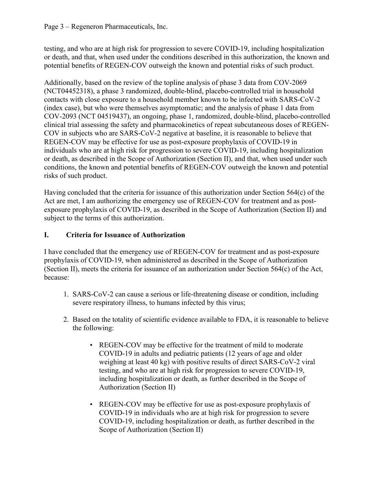#### Page 3 – Regeneron Pharmaceuticals, Inc.

testing, and who are at high risk for progression to severe COVID-19, including hospitalization or death, and that, when used under the conditions described in this authorization, the known and potential benefits of REGEN-COV outweigh the known and potential risks of such product.

Additionally, based on the review of the topline analysis of phase 3 data from COV-2069 (NCT04452318), a phase 3 randomized, double-blind, placebo-controlled trial in household contacts with close exposure to a household member known to be infected with SARS-CoV-2 (index case), but who were themselves asymptomatic; and the analysis of phase 1 data from COV-2093 (NCT 04519437), an ongoing, phase 1, randomized, double-blind, placebo-controlled clinical trial assessing the safety and pharmacokinetics of repeat subcutaneous doses of REGEN-COV in subjects who are SARS-CoV-2 negative at baseline, it is reasonable to believe that REGEN-COV may be effective for use as post-exposure prophylaxis of COVID-19 in individuals who are at high risk for progression to severe COVID-19, including hospitalization or death, as described in the Scope of Authorization (Section II), and that, when used under such conditions, the known and potential benefits of REGEN-COV outweigh the known and potential risks of such product.

Having concluded that the criteria for issuance of this authorization under Section 564(c) of the Act are met, I am authorizing the emergency use of REGEN-COV for treatment and as postexposure prophylaxis of COVID-19, as described in the Scope of Authorization (Section II) and subject to the terms of this authorization.

# **I. Criteria for Issuance of Authorization**

I have concluded that the emergency use of REGEN-COV for treatment and as post-exposure prophylaxis of COVID-19, when administered as described in the Scope of Authorization (Section II), meets the criteria for issuance of an authorization under Section 564(c) of the Act, because:

- 1. SARS-CoV-2 can cause a serious or life-threatening disease or condition, including severe respiratory illness, to humans infected by this virus;
- 2. Based on the totality of scientific evidence available to FDA, it is reasonable to believe the following:
	- REGEN-COV may be effective for the treatment of mild to moderate COVID-19 in adults and pediatric patients (12 years of age and older weighing at least 40 kg) with positive results of direct SARS-CoV-2 viral testing, and who are at high risk for progression to severe COVID-19, including hospitalization or death, as further described in the Scope of Authorization (Section II)
	- REGEN-COV may be effective for use as post-exposure prophylaxis of COVID-19 in individuals who are at high risk for progression to severe COVID-19, including hospitalization or death, as further described in the Scope of Authorization (Section II)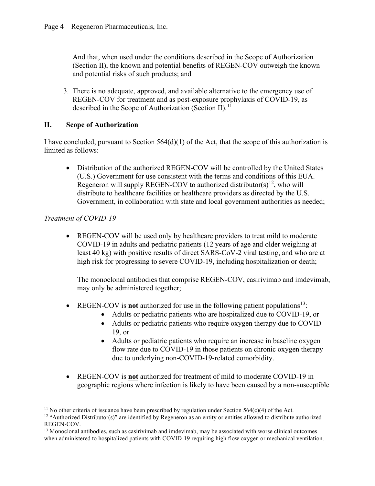And that, when used under the conditions described in the Scope of Authorization (Section II), the known and potential benefits of REGEN-COV outweigh the known and potential risks of such products; and

3. There is no adequate, approved, and available alternative to the emergency use of REGEN-COV for treatment and as post-exposure prophylaxis of COVID-19, as described in the Scope of Authorization (Section II).<sup>[11](#page-3-0)</sup>

## **II. Scope of Authorization**

I have concluded, pursuant to Section 564(d)(1) of the Act, that the scope of this authorization is limited as follows:

• Distribution of the authorized REGEN-COV will be controlled by the United States (U.S.) Government for use consistent with the terms and conditions of this EUA. Regeneron will supply REGEN-COV to authorized distributor( $s$ )<sup>[12](#page-3-1)</sup>, who will distribute to healthcare facilities or healthcare providers as directed by the U.S. Government, in collaboration with state and local government authorities as needed;

## *Treatment of COVID-19*

• REGEN-COV will be used only by healthcare providers to treat mild to moderate COVID-19 in adults and pediatric patients (12 years of age and older weighing at least 40 kg) with positive results of direct SARS-CoV-2 viral testing, and who are at high risk for progressing to severe COVID-19, including hospitalization or death;

The monoclonal antibodies that comprise REGEN-COV, casirivimab and imdevimab, may only be administered together;

- REGEN-COV is **not** authorized for use in the following patient populations<sup>13</sup>:
	- Adults or pediatric patients who are hospitalized due to COVID-19, or
	- Adults or pediatric patients who require oxygen therapy due to COVID-19, or
	- Adults or pediatric patients who require an increase in baseline oxygen flow rate due to COVID-19 in those patients on chronic oxygen therapy due to underlying non-COVID-19-related comorbidity.
- REGEN-COV is **not** authorized for treatment of mild to moderate COVID-19 in geographic regions where infection is likely to have been caused by a non-susceptible

<span id="page-3-0"></span><sup>&</sup>lt;sup>11</sup> No other criteria of issuance have been prescribed by regulation under Section 564(c)(4) of the Act.

<span id="page-3-1"></span> $12$  "Authorized Distributor(s)" are identified by Regeneron as an entity or entities allowed to distribute authorized REGEN-COV.

<span id="page-3-2"></span><sup>&</sup>lt;sup>13</sup> Monoclonal antibodies, such as casirivimab and imdevimab, may be associated with worse clinical outcomes when administered to hospitalized patients with COVID-19 requiring high flow oxygen or mechanical ventilation.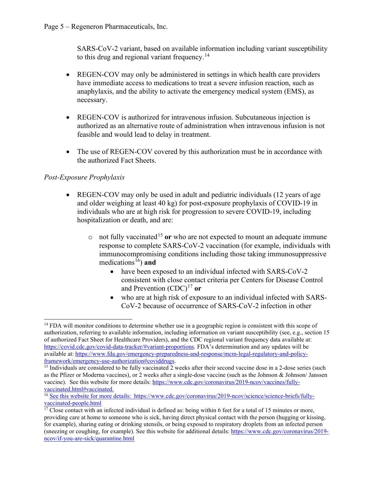SARS-CoV-2 variant, based on available information including variant susceptibility to this drug and regional variant frequency.<sup>[14](#page-4-0)</sup>

- REGEN-COV may only be administered in settings in which health care providers have immediate access to medications to treat a severe infusion reaction, such as anaphylaxis, and the ability to activate the emergency medical system (EMS), as necessary.
- REGEN-COV is authorized for intravenous infusion. Subcutaneous injection is authorized as an alternative route of administration when intravenous infusion is not feasible and would lead to delay in treatment.
- The use of REGEN-COV covered by this authorization must be in accordance with the authorized Fact Sheets.

# *Post-Exposure Prophylaxis*

- REGEN-COV may only be used in adult and pediatric individuals (12 years of age and older weighing at least 40 kg) for post-exposure prophylaxis of COVID-19 in individuals who are at high risk for progression to severe COVID-19, including hospitalization or death, and are:
	- $\circ$  not fully vaccinated<sup>[15](#page-4-1)</sup> or who are not expected to mount an adequate immune response to complete SARS-CoV-2 vaccination (for example, individuals with immunocompromising conditions including those taking immunosuppressive medications<sup>16</sup>) and
		- have been exposed to an individual infected with SARS-CoV-2 consistent with close contact criteria per Centers for Disease Control and Prevention  $(CDC)^{17}$  $(CDC)^{17}$  $(CDC)^{17}$  or
		- who are at high risk of exposure to an individual infected with SARS-CoV-2 because of occurrence of SARS-CoV-2 infection in other

<span id="page-4-0"></span><sup>&</sup>lt;sup>14</sup> FDA will monitor conditions to determine whether use in a geographic region is consistent with this scope of authorization, referring to available information, including information on variant susceptibility (see, e.g., section 15 of authorized Fact Sheet for Healthcare Providers), and the CDC regional variant frequency data available at: [https://covid.cdc.gov/covid-data-tracker/#variant-proportions.](https://covid.cdc.gov/covid-data-tracker/#variant-proportions) FDA's determination and any updates will be available at: [https://www.fda.gov/emergency-preparedness-and-response/mcm-legal-regulatory-and-policy](https://www.fda.gov/emergency-preparedness-and-response/mcm-legal-regulatory-and-policy-framework/emergency-use-authorization#coviddrugs)[framework/emergency-use-authorization#coviddrugs.](https://www.fda.gov/emergency-preparedness-and-response/mcm-legal-regulatory-and-policy-framework/emergency-use-authorization#coviddrugs)

<span id="page-4-1"></span><sup>&</sup>lt;sup>15</sup> Individuals are considered to be fully vaccinated 2 weeks after their second vaccine dose in a 2-dose series (such as the Pfizer or Moderna vaccines), or 2 weeks after a single-dose vaccine (such as the Johnson & Johnson/ Janssen vaccine). See this website for more details: [https://www.cdc.gov/coronavirus/2019-ncov/vaccines/fully](https://www.cdc.gov/coronavirus/2019-ncov/vaccines/fully-vaccinated.html#vaccinated)[vaccinated.html#vaccinated.](https://www.cdc.gov/coronavirus/2019-ncov/vaccines/fully-vaccinated.html#vaccinated)

<span id="page-4-2"></span><sup>16</sup> See this website for more details: [https://www.cdc.gov/coronavirus/2019-ncov/science/science-briefs/fully](https://www.cdc.gov/coronavirus/2019-ncov/science/science-briefs/fully-vaccinated-people.html)[vaccinated-people.html](https://www.cdc.gov/coronavirus/2019-ncov/science/science-briefs/fully-vaccinated-people.html)

<span id="page-4-3"></span> $17$  Close contact with an infected individual is defined as: being within 6 feet for a total of 15 minutes or more, providing care at home to someone who is sick, having direct physical contact with the person (hugging or kissing, for example), sharing eating or drinking utensils, or being exposed to respiratory droplets from an infected person (sneezing or coughing, for example). See this website for additional details: [https://www.cdc.gov/coronavirus/2019](https://www.cdc.gov/coronavirus/2019-ncov/if-you-are-sick/quarantine.html) [ncov/if-you-are-sick/quarantine.html](https://www.cdc.gov/coronavirus/2019-ncov/if-you-are-sick/quarantine.html)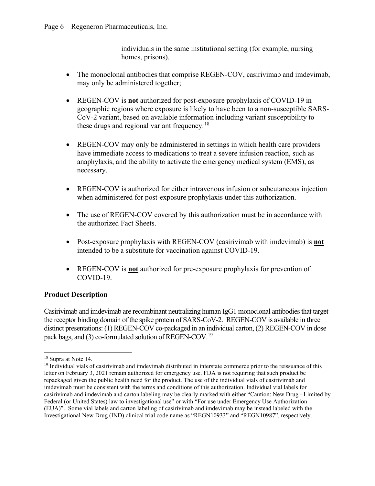#### Page 6 – Regeneron Pharmaceuticals, Inc.

individuals in the same institutional setting (for example, nursing homes, prisons).

- The monoclonal antibodies that comprise REGEN-COV, casirivimab and imdevimab, may only be administered together;
- REGEN-COV is **not** authorized for post-exposure prophylaxis of COVID-19 in geographic regions where exposure is likely to have been to a non-susceptible SARS-CoV-2 variant, based on available information including variant susceptibility to these drugs and regional variant frequency.<sup>[18](#page-5-0)</sup>
- REGEN-COV may only be administered in settings in which health care providers have immediate access to medications to treat a severe infusion reaction, such as anaphylaxis, and the ability to activate the emergency medical system (EMS), as necessary.
- REGEN-COV is authorized for either intravenous infusion or subcutaneous injection when administered for post-exposure prophylaxis under this authorization.
- The use of REGEN-COV covered by this authorization must be in accordance with the authorized Fact Sheets.
- Post-exposure prophylaxis with REGEN-COV (casirivimab with imdevimab) is **not** intended to be a substitute for vaccination against COVID-19.
- REGEN-COV is **not** authorized for pre-exposure prophylaxis for prevention of COVID-19.

#### **Product Description**

Casirivimab and imdevimab are recombinant neutralizing human IgG1 monoclonal antibodies that target the receptor binding domain of the spike protein of SARS-CoV-2. REGEN-COV is available in three distinct presentations: (1) REGEN-COV co-packaged in an individual carton, (2) REGEN-COV in dose pack bags, and (3) co-formulated solution of REGEN-COV.<sup>19</sup>

<span id="page-5-0"></span><sup>18</sup> Supra at Note 14.

<span id="page-5-1"></span> $19$  Individual vials of casirivimab and imdevimab distributed in interstate commerce prior to the reissuance of this letter on February 3, 2021 remain authorized for emergency use. FDA is not requiring that such product be repackaged given the public health need for the product. The use of the individual vials of casirivimab and imdevimab must be consistent with the terms and conditions of this authorization. Individual vial labels for casirivimab and imdevimab and carton labeling may be clearly marked with either "Caution: New Drug - Limited by Federal (or United States) law to investigational use" or with "For use under Emergency Use Authorization (EUA)". Some vial labels and carton labeling of casirivimab and imdevimab may be instead labeled with the Investigational New Drug (IND) clinical trial code name as "REGN10933" and "REGN10987", respectively.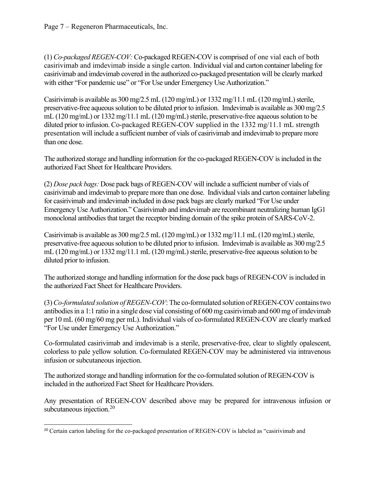Page 7 – Regeneron Pharmaceuticals, Inc.

(1) *Co-packaged REGEN-COV:* Co-packaged REGEN-COV is comprised of one vial each of both casirivimab and imdevimab inside a single carton. Individual vial and carton container labeling for casirivimab and imdevimab covered in the authorized co-packaged presentation will be clearly marked with either "For pandemic use" or "For Use under Emergency Use Authorization."

Casirivimab is available as 300 mg/2.5 mL (120 mg/mL) or 1332 mg/11.1 mL (120 mg/mL) sterile, preservative-free aqueous solution to be diluted prior to infusion. Imdevimab is available as 300 mg/2.5 mL (120 mg/mL) or 1332 mg/11.1 mL (120 mg/mL) sterile, preservative-free aqueous solution to be diluted prior to infusion. Co-packaged REGEN-COV supplied in the 1332 mg/11.1 mL strength presentation will include a sufficient number of vials of casirivimab and imdevimab to prepare more than one dose.

The authorized storage and handling information for the co-packaged REGEN-COV is included in the authorized Fact Sheet for Healthcare Providers.

(2) *Dose pack bags:* Dose pack bags of REGEN-COV will include a sufficient number of vials of casirivimab and imdevimab to prepare more than one dose. Individual vials and carton container labeling for casirivimab and imdevimab included in dose pack bags are clearly marked "For Use under Emergency Use Authorization." Casirivimab and imdevimab are recombinant neutralizing human IgG1 monoclonal antibodies that target the receptor binding domain of the spike protein of SARS-CoV-2.

Casirivimab is available as  $300 \text{ mg}/2.5 \text{ mL}$  (120 mg/mL) or 1332 mg/11.1 mL (120 mg/mL) sterile, preservative-free aqueous solution to be diluted prior to infusion. Imdevimab is available as 300 mg/2.5 mL (120 mg/mL) or 1332 mg/11.1 mL (120 mg/mL) sterile, preservative-free aqueous solution to be diluted prior to infusion.

The authorized storage and handling information for the dose pack bags of REGEN-COV is included in the authorized Fact Sheet for Healthcare Providers.

(3) *Co-formulated solution of REGEN-COV*: The co-formulated solution of REGEN-COV containstwo antibodies in a 1:1 ratio in a single dose vial consisting of 600 mg casirivimab and 600 mg of imdevimab per 10 mL (60 mg/60 mg per mL). Individual vials of co-formulated REGEN-COV are clearly marked "For Use under Emergency Use Authorization."

Co-formulated casirivimab and imdevimab is a sterile, preservative-free, clear to slightly opalescent, colorless to pale yellow solution. Co-formulated REGEN-COV may be administered via intravenous infusion or subcutaneous injection.

The authorized storage and handling information for the co-formulated solution of REGEN-COV is included in the authorized Fact Sheet for Healthcare Providers.

Any presentation of REGEN-COV described above may be prepared for intravenous infusion or subcutaneous injection.<sup>[20](#page-6-0)</sup>

<span id="page-6-0"></span><sup>&</sup>lt;sup>20</sup> Certain carton labeling for the co-packaged presentation of REGEN-COV is labeled as "casirivimab and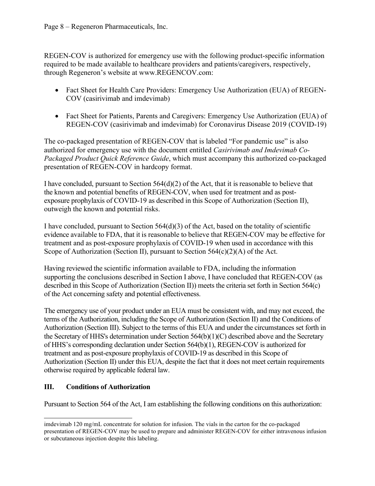REGEN-COV is authorized for emergency use with the following product-specific information required to be made available to healthcare providers and patients/caregivers, respectively, through Regeneron's website at www.REGENCOV.com:

- Fact Sheet for Health Care Providers: Emergency Use Authorization (EUA) of REGEN-COV (casirivimab and imdevimab)
- Fact Sheet for Patients, Parents and Caregivers: Emergency Use Authorization (EUA) of REGEN-COV (casirivimab and imdevimab) for Coronavirus Disease 2019 (COVID-19)

The co-packaged presentation of REGEN-COV that is labeled "For pandemic use" is also authorized for emergency use with the document entitled *Casirivimab and Imdevimab Co-Packaged Product Quick Reference Guide*, which must accompany this authorized co-packaged presentation of REGEN-COV in hardcopy format.

I have concluded, pursuant to Section  $564(d)(2)$  of the Act, that it is reasonable to believe that the known and potential benefits of REGEN-COV, when used for treatment and as postexposure prophylaxis of COVID-19 as described in this Scope of Authorization (Section II), outweigh the known and potential risks.

I have concluded, pursuant to Section  $564(d)(3)$  of the Act, based on the totality of scientific evidence available to FDA, that it is reasonable to believe that REGEN-COV may be effective for treatment and as post-exposure prophylaxis of COVID-19 when used in accordance with this Scope of Authorization (Section II), pursuant to Section  $564(c)(2)(A)$  of the Act.

Having reviewed the scientific information available to FDA, including the information supporting the conclusions described in Section I above, I have concluded that REGEN-COV (as described in this Scope of Authorization (Section II)) meets the criteria set forth in Section 564(c) of the Act concerning safety and potential effectiveness.

The emergency use of your product under an EUA must be consistent with, and may not exceed, the terms of the Authorization, including the Scope of Authorization (Section II) and the Conditions of Authorization (Section III). Subject to the terms of this EUA and under the circumstances set forth in the Secretary of HHS's determination under Section 564(b)(1)(C) described above and the Secretary of HHS's corresponding declaration under Section 564(b)(1), REGEN-COV is authorized for treatment and as post-exposure prophylaxis of COVID-19 as described in this Scope of Authorization (Section II) under this EUA, despite the fact that it does not meet certain requirements otherwise required by applicable federal law.

# **III. Conditions of Authorization**

Pursuant to Section 564 of the Act, I am establishing the following conditions on this authorization:

imdevimab 120 mg/mL concentrate for solution for infusion. The vials in the carton for the co-packaged presentation of REGEN-COV may be used to prepare and administer REGEN-COV for either intravenous infusion or subcutaneous injection despite this labeling.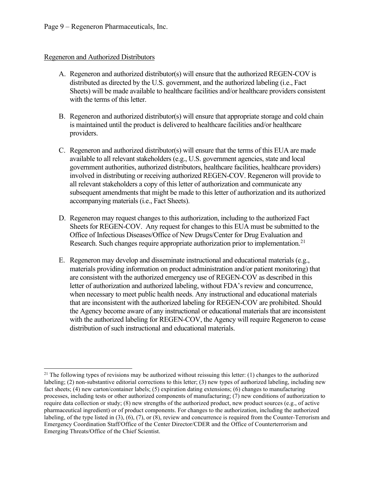#### Regeneron and Authorized Distributors

- A. Regeneron and authorized distributor(s) will ensure that the authorized REGEN-COV is distributed as directed by the U.S. government, and the authorized labeling (i.e., Fact Sheets) will be made available to healthcare facilities and/or healthcare providers consistent with the terms of this letter.
- B. Regeneron and authorized distributor(s) will ensure that appropriate storage and cold chain is maintained until the product is delivered to healthcare facilities and/or healthcare providers.
- C. Regeneron and authorized distributor(s) will ensure that the terms of this EUA are made available to all relevant stakeholders (e.g., U.S. government agencies, state and local government authorities, authorized distributors, healthcare facilities, healthcare providers) involved in distributing or receiving authorized REGEN-COV. Regeneron will provide to all relevant stakeholders a copy of this letter of authorization and communicate any subsequent amendments that might be made to this letter of authorization and its authorized accompanying materials (i.e., Fact Sheets).
- D. Regeneron may request changes to this authorization, including to the authorized Fact Sheets for REGEN-COV. Any request for changes to this EUA must be submitted to the Office of Infectious Diseases/Office of New Drugs/Center for Drug Evaluation and Research. Such changes require appropriate authorization prior to implementation.<sup>[21](#page-8-0)</sup>
- E. Regeneron may develop and disseminate instructional and educational materials (e.g., materials providing information on product administration and/or patient monitoring) that are consistent with the authorized emergency use of REGEN-COV as described in this letter of authorization and authorized labeling, without FDA's review and concurrence, when necessary to meet public health needs. Any instructional and educational materials that are inconsistent with the authorized labeling for REGEN-COV are prohibited. Should the Agency become aware of any instructional or educational materials that are inconsistent with the authorized labeling for REGEN-COV, the Agency will require Regeneron to cease distribution of such instructional and educational materials.

<span id="page-8-0"></span> $21$  The following types of revisions may be authorized without reissuing this letter: (1) changes to the authorized labeling; (2) non-substantive editorial corrections to this letter; (3) new types of authorized labeling, including new fact sheets; (4) new carton/container labels; (5) expiration dating extensions; (6) changes to manufacturing processes, including tests or other authorized components of manufacturing; (7) new conditions of authorization to require data collection or study; (8) new strengths of the authorized product, new product sources (e.g., of active pharmaceutical ingredient) or of product components. For changes to the authorization, including the authorized labeling, of the type listed in (3), (6), (7), or (8), review and concurrence is required from the Counter-Terrorism and Emergency Coordination Staff/Office of the Center Director/CDER and the Office of Counterterrorism and Emerging Threats/Office of the Chief Scientist.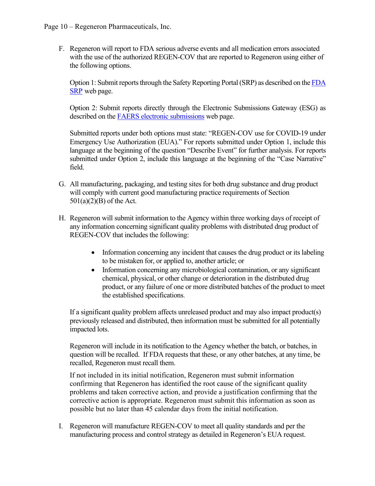F. Regeneron will report to FDA serious adverse events and all medication errors associated with the use of the authorized REGEN-COV that are reported to Regeneron using either of the following options.

Option 1: Submit reports through the Safety Reporting Portal (SRP) as described on the [FDA](https://www.safetyreporting.hhs.gov/SRP2/en/Home.aspx?sid=c51864fa-2307-41b7-8f15-aee06e28c0b9)  [SRP](https://www.safetyreporting.hhs.gov/SRP2/en/Home.aspx?sid=c51864fa-2307-41b7-8f15-aee06e28c0b9) web page.

Option 2: Submit reports directly through the Electronic Submissions Gateway (ESG) as described on the [FAERS electronic submissions](https://www.fda.gov/drugs/questions-and-answers-fdas-adverse-event-reporting-system-faers/fda-adverse-event-reporting-system-faers-electronic-submissions) web page.

Submitted reports under both options must state: "REGEN-COV use for COVID-19 under Emergency Use Authorization (EUA)." For reports submitted under Option 1, include this language at the beginning of the question "Describe Event" for further analysis. For reports submitted under Option 2, include this language at the beginning of the "Case Narrative" field.

- G. All manufacturing, packaging, and testing sites for both drug substance and drug product will comply with current good manufacturing practice requirements of Section 501(a)(2)(B) of the Act.
- H. Regeneron will submit information to the Agency within three working days of receipt of any information concerning significant quality problems with distributed drug product of REGEN-COV that includes the following:
	- Information concerning any incident that causes the drug product or its labeling to be mistaken for, or applied to, another article; or
	- Information concerning any microbiological contamination, or any significant chemical, physical, or other change or deterioration in the distributed drug product, or any failure of one or more distributed batches of the product to meet the established specifications.

If a significant quality problem affects unreleased product and may also impact product(s) previously released and distributed, then information must be submitted for all potentially impacted lots.

Regeneron will include in its notification to the Agency whether the batch, or batches, in question will be recalled. If FDA requests that these, or any other batches, at any time, be recalled, Regeneron must recall them.

If not included in its initial notification, Regeneron must submit information confirming that Regeneron has identified the root cause of the significant quality problems and taken corrective action, and provide a justification confirming that the corrective action is appropriate. Regeneron must submit this information as soon as possible but no later than 45 calendar days from the initial notification.

I. Regeneron will manufacture REGEN-COV to meet all quality standards and per the manufacturing process and control strategy as detailed in Regeneron's EUA request.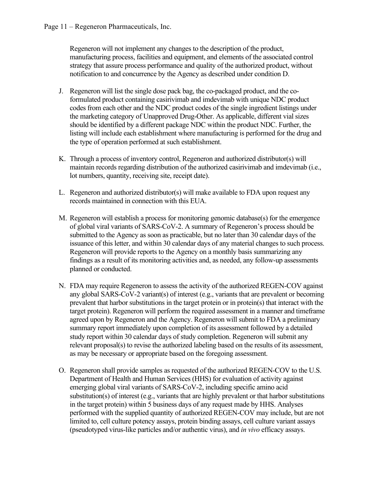Regeneron will not implement any changes to the description of the product, manufacturing process, facilities and equipment, and elements of the associated control strategy that assure process performance and quality of the authorized product, without notification to and concurrence by the Agency as described under condition D.

- J. Regeneron will list the single dose pack bag, the co-packaged product, and the coformulated product containing casirivimab and imdevimab with unique NDC product codes from each other and the NDC product codes of the single ingredient listings under the marketing category of Unapproved Drug-Other. As applicable, different vial sizes should be identified by a different package NDC within the product NDC. Further, the listing will include each establishment where manufacturing is performed for the drug and the type of operation performed at such establishment.
- K. Through a process of inventory control, Regeneron and authorized distributor(s) will maintain records regarding distribution of the authorized casirivimab and imdevimab (i.e., lot numbers, quantity, receiving site, receipt date).
- L. Regeneron and authorized distributor(s) will make available to FDA upon request any records maintained in connection with this EUA.
- M. Regeneron will establish a process for monitoring genomic database(s) for the emergence of global viral variants of SARS-CoV-2. A summary of Regeneron's process should be submitted to the Agency as soon as practicable, but no later than 30 calendar days of the issuance of this letter, and within 30 calendar days of any material changes to such process. Regeneron will provide reports to the Agency on a monthly basis summarizing any findings as a result of its monitoring activities and, as needed, any follow-up assessments planned or conducted.
- N. FDA may require Regeneron to assess the activity of the authorized REGEN-COV against any global SARS-CoV-2 variant(s) of interest (e.g., variants that are prevalent or becoming prevalent that harbor substitutions in the target protein or in protein(s) that interact with the target protein). Regeneron will perform the required assessment in a manner and timeframe agreed upon by Regeneron and the Agency. Regeneron will submit to FDA a preliminary summary report immediately upon completion of its assessment followed by a detailed study report within 30 calendar days of study completion. Regeneron will submit any relevant proposal(s) to revise the authorized labeling based on the results of its assessment, as may be necessary or appropriate based on the foregoing assessment.
- O. Regeneron shall provide samples as requested of the authorized REGEN-COV to the U.S. Department of Health and Human Services (HHS) for evaluation of activity against emerging global viral variants of SARS-CoV-2, including specific amino acid substitution(s) of interest (e.g., variants that are highly prevalent or that harbor substitutions in the target protein) within 5 business days of any request made by HHS. Analyses performed with the supplied quantity of authorized REGEN-COV may include, but are not limited to, cell culture potency assays, protein binding assays, cell culture variant assays (pseudotyped virus-like particles and/or authentic virus), and *in vivo* efficacy assays.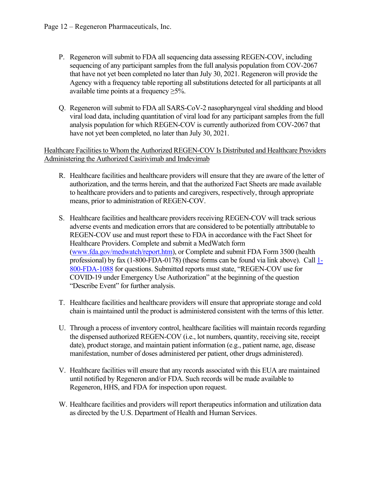- P. Regeneron will submit to FDA all sequencing data assessing REGEN-COV, including sequencing of any participant samples from the full analysis population from COV-2067 that have not yet been completed no later than July 30, 2021. Regeneron will provide the Agency with a frequency table reporting all substitutions detected for all participants at all available time points at a frequency  $\geq$ 5%.
- Q. Regeneron will submit to FDA all SARS-CoV-2 nasopharyngeal viral shedding and blood viral load data, including quantitation of viral load for any participant samples from the full analysis population for which REGEN-COV is currently authorized from COV-2067 that have not yet been completed, no later than July 30, 2021.

#### Healthcare Facilities to Whom the Authorized REGEN-COV Is Distributed and Healthcare Providers Administering the Authorized Casirivimab and Imdevimab

- R. Healthcare facilities and healthcare providers will ensure that they are aware of the letter of authorization, and the terms herein, and that the authorized Fact Sheets are made available to healthcare providers and to patients and caregivers, respectively, through appropriate means, prior to administration of REGEN-COV.
- S. Healthcare facilities and healthcare providers receiving REGEN-COV will track serious adverse events and medication errors that are considered to be potentially attributable to REGEN-COV use and must report these to FDA in accordance with the Fact Sheet for Healthcare Providers. Complete and submit a MedWatch form [\(www.fda.gov/medwatch/report.htm\)](http://www.fda.gov/medwatch/report.htm), or Complete and submit FDA Form 3500 (health professional) by fax (1-800-FDA-0178) (these forms can be found via link above). Call [1-](http://www.fda.gov/medwatch%20or%20call%201-800-FDA-1088) [800-FDA-1088](http://www.fda.gov/medwatch%20or%20call%201-800-FDA-1088) for questions. Submitted reports must state, "REGEN-COV use for COVID-19 under Emergency Use Authorization" at the beginning of the question "Describe Event" for further analysis.
- T. Healthcare facilities and healthcare providers will ensure that appropriate storage and cold chain is maintained until the product is administered consistent with the terms of this letter.
- U. Through a process of inventory control, healthcare facilities will maintain records regarding the dispensed authorized REGEN-COV (i.e., lot numbers, quantity, receiving site, receipt date), product storage, and maintain patient information (e.g., patient name, age, disease manifestation, number of doses administered per patient, other drugs administered).
- V. Healthcare facilities will ensure that any records associated with this EUA are maintained until notified by Regeneron and/or FDA. Such records will be made available to Regeneron, HHS, and FDA for inspection upon request.
- W. Healthcare facilities and providers will report therapeutics information and utilization data as directed by the U.S. Department of Health and Human Services.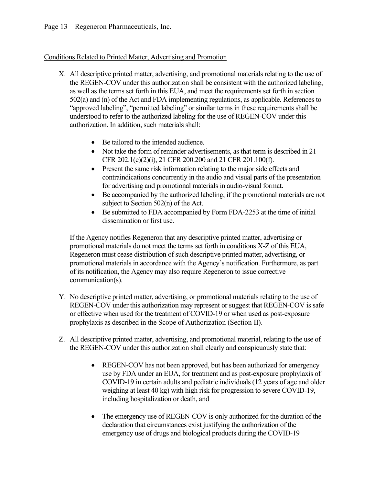## Conditions Related to Printed Matter, Advertising and Promotion

- X. All descriptive printed matter, advertising, and promotional materials relating to the use of the REGEN-COV under this authorization shall be consistent with the authorized labeling, as well as the terms set forth in this EUA, and meet the requirements set forth in section 502(a) and (n) of the Act and FDA implementing regulations, as applicable. References to "approved labeling", "permitted labeling" or similar terms in these requirements shall be understood to refer to the authorized labeling for the use of REGEN-COV under this authorization. In addition, such materials shall:
	- Be tailored to the intended audience.
	- Not take the form of reminder advertisements, as that term is described in 21 CFR 202.1(e)(2)(i), 21 CFR 200.200 and 21 CFR 201.100(f).
	- Present the same risk information relating to the major side effects and contraindications concurrently in the audio and visual parts of the presentation for advertising and promotional materials in audio-visual format.
	- Be accompanied by the authorized labeling, if the promotional materials are not subject to Section 502(n) of the Act.
	- Be submitted to FDA accompanied by Form FDA-2253 at the time of initial dissemination or first use.

If the Agency notifies Regeneron that any descriptive printed matter, advertising or promotional materials do not meet the terms set forth in conditions X-Z of this EUA, Regeneron must cease distribution of such descriptive printed matter, advertising, or promotional materials in accordance with the Agency's notification. Furthermore, as part of its notification, the Agency may also require Regeneron to issue corrective communication(s).

- Y. No descriptive printed matter, advertising, or promotional materials relating to the use of REGEN-COV under this authorization may represent or suggest that REGEN-COV is safe or effective when used for the treatment of COVID-19 or when used as post-exposure prophylaxis as described in the Scope of Authorization (Section II).
- Z. All descriptive printed matter, advertising, and promotional material, relating to the use of the REGEN-COV under this authorization shall clearly and conspicuously state that:
	- REGEN-COV has not been approved, but has been authorized for emergency use by FDA under an EUA, for treatment and as post-exposure prophylaxis of COVID-19 in certain adults and pediatric individuals (12 years of age and older weighing at least 40 kg) with high risk for progression to severe COVID-19, including hospitalization or death, and
	- The emergency use of REGEN-COV is only authorized for the duration of the declaration that circumstances exist justifying the authorization of the emergency use of drugs and biological products during the COVID-19